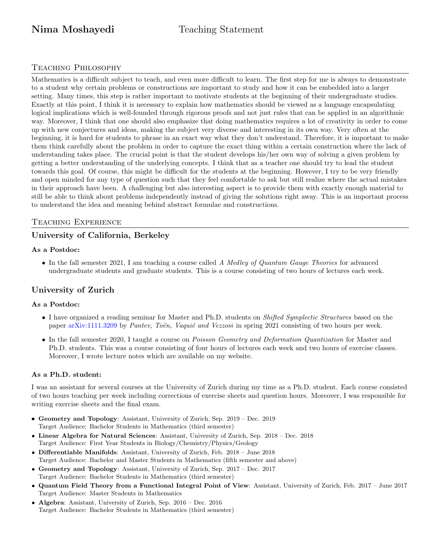# Nima Moshayedi Teaching Statement

# Teaching Philosophy

Mathematics is a difficult subject to teach, and even more difficult to learn. The first step for me is always to demonstrate to a student why certain problems or constructions are important to study and how it can be embedded into a larger setting. Many times, this step is rather important to motivate students at the beginning of their undergraduate studies. Exactly at this point, I think it is necessary to explain how mathematics should be viewed as a language encapsulating logical implications which is well-founded through rigorous proofs and not just rules that can be applied in an algorithmic way. Moreover, I think that one should also emphasize that doing mathematics requires a lot of creativity in order to come up with new conjectures and ideas, making the subject very diverse and interesting in its own way. Very often at the beginning, it is hard for students to phrase in an exact way what they don't understand. Therefore, it is important to make them think carefully about the problem in order to capture the exact thing within a certain construction where the lack of understanding takes place. The crucial point is that the student develops his/her own way of solving a given problem by getting a better understanding of the underlying concepts. I think that as a teacher one should try to lead the student towards this goal. Of course, this might be difficult for the students at the beginning. However, I try to be very friendly and open minded for any type of question such that they feel comfortable to ask but still realize where the actual mistakes in their approach have been. A challenging but also interesting aspect is to provide them with exactly enough material to still be able to think about problems independently instead of giving the solutions right away. This is an important process to understand the idea and meaning behind abstract formulae and constructions.

# Teaching Experience

# University of California, Berkeley

### As a Postdoc:

• In the fall semester 2021, I am teaching a course called A Medley of Quantum Gauge Theories for advanced undergraduate students and graduate students. This is a course consisting of two hours of lectures each week.

# University of Zurich

### As a Postdoc:

- I have organized a reading seminar for Master and Ph.D. students on *Shifted Symplectic Structures* based on the paper [arXiv:1111.3209](https://arxiv.org/abs/1111.3209) by Pantev, Toën, Vaquié and Vezzosi in spring 2021 consisting of two hours per week.
- In the fall semester 2020, I taught a course on Poisson Geometry and Deformation Quantization for Master and Ph.D. students. This was a course consisting of four hours of lectures each week and two hours of exercise classes. Moreover, I wrote lecture notes which are available on my website.

### As a Ph.D. student:

I was an assistant for several courses at the University of Zurich during my time as a Ph.D. student. Each course consisted of two hours teaching per week including corrections of exercise sheets and question hours. Moreover, I was responsible for writing exercise sheets and the final exam.

- Geometry and Topology: Assistant, University of Zurich, Sep. 2019 Dec. 2019 Target Audience: Bachelor Students in Mathematics (third semester)
- Linear Algebra for Natural Sciences: Assistant, University of Zurich, Sep. 2018 Dec. 2018 Target Audience: First Year Students in Biology/Chemistry/Physics/Geology
- Differentiable Manifolds: Assistant, University of Zurich, Feb. 2018 June 2018 Target Audience: Bachelor and Master Students in Mathematics (fifth semester and above)
- Geometry and Topology: Assistant, University of Zurich, Sep. 2017 Dec. 2017 Target Audience: Bachelor Students in Mathematics (third semester)
- Quantum Field Theory from a Functional Integral Point of View: Assistant, University of Zurich, Feb. 2017 June 2017 Target Audience: Master Students in Mathematics
- Algebra: Assistant, University of Zurich, Sep. 2016 Dec. 2016 Target Audience: Bachelor Students in Mathematics (third semester)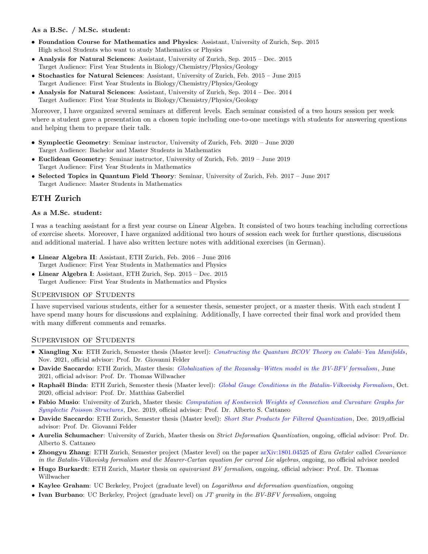#### As a B.Sc. / M.Sc. student:

- Foundation Course for Mathematics and Physics: Assistant, University of Zurich, Sep. 2015 High school Students who want to study Mathematics or Physics
- Analysis for Natural Sciences: Assistant, University of Zurich, Sep. 2015 Dec. 2015 Target Audience: First Year Students in Biology/Chemistry/Physics/Geology
- Stochastics for Natural Sciences: Assistant, University of Zurich, Feb. 2015 June 2015 Target Audience: First Year Students in Biology/Chemistry/Physics/Geology
- Analysis for Natural Sciences: Assistant, University of Zurich, Sep. 2014 Dec. 2014 Target Audience: First Year Students in Biology/Chemistry/Physics/Geology

Moreover, I have organized several seminars at different levels. Each seminar consisted of a two hours session per week where a student gave a presentation on a chosen topic including one-to-one meetings with students for answering questions and helping them to prepare their talk.

- Symplectic Geometry: Seminar instructor, University of Zurich, Feb. 2020 June 2020 Target Audience: Bachelor and Master Students in Mathematics
- Euclidean Geometry: Seminar instructor, University of Zurich, Feb. 2019 June 2019 Target Audience: First Year Students in Mathematics
- Selected Topics in Quantum Field Theory: Seminar, University of Zurich, Feb. 2017 June 2017 Target Audience: Master Students in Mathematics

# ETH Zurich

#### As a M.Sc. student:

I was a teaching assistant for a first year course on Linear Algebra. It consisted of two hours teaching including corrections of exercise sheets. Moreover, I have organized additional two hours of session each week for further questions, discussions and additional material. I have also written lecture notes with additional exercises (in German).

- Linear Algebra II: Assistant, ETH Zurich, Feb. 2016 June 2016 Target Audience: First Year Students in Mathematics and Physics
- Linear Algebra I: Assistant, ETH Zurich, Sep. 2015 Dec. 2015 Target Audience: First Year Students in Mathematics and Physics

### Supervision of Students

I have supervised various students, either for a semester thesis, semester project, or a master thesis. With each student I have spend many hours for discussions and explaining. Additionally, I have corrected their final work and provided them with many different comments and remarks.

### Supervision of Students

- Xiangling Xu: ETH Zurich, Semester thesis (Master level): [Constructing the Quantum BCOV Theory on Calabi–Yau Manifolds](https://drive.google.com/file/d/16s6qlq_LJjJJSU2m-0DkpzsACGbFzBpP/view?usp=sharing), Nov. 2021, official advisor: Prof. Dr. Giovanni Felder
- Davide Saccardo: ETH Zurich, Master thesis: [Globalization of the Rozansky–Witten model in the BV-BFV formalism](https://drive.google.com/file/d/1KfERWCZnyZvEnp-TBJXO3RI027DBa1cJ/view?usp=sharing), June 2021, official advisor: Prof. Dr. Thomas Willwacher
- Raphaël Binda: ETH Zurich, Semester thesis (Master level): [Global Gauge Conditions in the Batalin-Vilkovisky Formalism](https://drive.google.com/file/d/179et0VYg4jRhWo0TIJmU1LG5QlTKWu8v/view), Oct. 2020, official advisor: Prof. Dr. Matthias Gaberdiel
- Fabio Musio: University of Zurich, Master thesis: [Computation of Kontsevich Weights of Connection and Curvature Graphs for](https://drive.google.com/file/d/1x398eUNv2mSNmODLmZ2SCls_J9Erhob8/view) [Symplectic Poisson Structures](https://drive.google.com/file/d/1x398eUNv2mSNmODLmZ2SCls_J9Erhob8/view), Dec. 2019, official advisor: Prof. Dr. Alberto S. Cattaneo
- Davide Saccardo: ETH Zurich, Semester thesis (Master level): [Short Star Products for Filtered Quantization](https://drive.google.com/file/d/1uEemL_eD-WGBwxdY8EipHCmXw0S8MKlD/view), Dec. 2019,official advisor: Prof. Dr. Giovanni Felder
- Aurelia Schumacher: University of Zurich, Master thesis on Strict Deformation Quantization, ongoing, official advisor: Prof. Dr. Alberto S. Cattaneo
- Zhongyu Zhang: ETH Zurich, Semester project (Master level) on the paper [arXiv:1801.04525](https://arxiv.org/abs/1801.04525) of Ezra Getzler called Covariance in the Batalin-Vilkovisky formalism and the Maurer-Cartan equation for curved Lie algebras, ongoing, no official advisor needed
- Hugo Burkardt: ETH Zurich, Master thesis on *equivariant BV formalism*, ongoing, official advisor: Prof. Dr. Thomas Willwacher
- Kaylee Graham: UC Berkeley, Project (graduate level) on *Logarithms and deformation quantization*, ongoing
- Ivan Burbano: UC Berkeley, Project (graduate level) on JT gravity in the BV-BFV formalism, ongoing